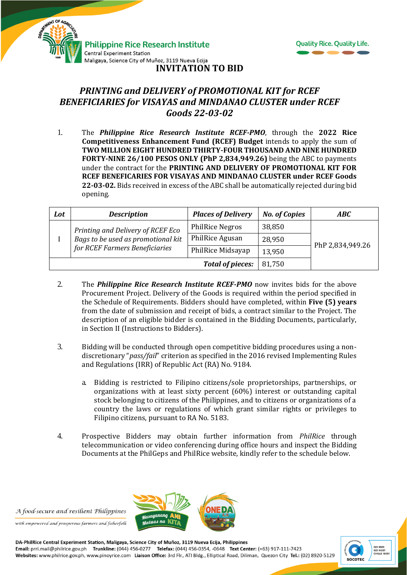



## *PRINTING and DELIVERY of PROMOTIONAL KIT for RCEF BENEFICIARIES for VISAYAS and MINDANAO CLUSTER under RCEF Goods 22-03-02*

1. The *Philippine Rice Research Institute RCEF-PMO*, through the **2022 Rice Competitiveness Enhancement Fund (RCEF) Budget** intends to apply the sum of **TWO MILLION EIGHT HUNDRED THIRTY-FOUR THOUSAND AND NINE HUNDRED FORTY-NINE 26/100 PESOS ONLY (PhP 2,834,949.26)** being the ABC to payments under the contract for the **PRINTING AND DELIVERY OF PROMOTIONAL KIT FOR RCEF BENEFICARIES FOR VISAYAS AND MINDANAO CLUSTER under RCEF Goods 22-03-02.** Bids received in excess of the ABC shall be automatically rejected during bid opening.

| Lot                     | <b>Description</b>                                                                                        | <b>Places of Delivery</b> | <b>No. of Copies</b> | ABC              |
|-------------------------|-----------------------------------------------------------------------------------------------------------|---------------------------|----------------------|------------------|
|                         | Printing and Delivery of RCEF Eco<br>Bags to be used as promotional kit<br>for RCEF Farmers Beneficiaries | <b>PhilRice Negros</b>    | 38,850               | PhP 2,834,949.26 |
|                         |                                                                                                           | PhilRice Agusan           | 28,950               |                  |
|                         |                                                                                                           | PhilRice Midsayap         | 13,950               |                  |
| <b>Total of pieces:</b> |                                                                                                           |                           | 81,750               |                  |

- 2. The *Philippine Rice Research Institute RCEF-PMO* now invites bids for the above Procurement Project. Delivery of the Goods is required within the period specified in the Schedule of Requirements. Bidders should have completed, within **Five (5) years** from the date of submission and receipt of bids, a contract similar to the Project. The description of an eligible bidder is contained in the Bidding Documents, particularly, in Section II (Instructions to Bidders).
- 3. Bidding will be conducted through open competitive bidding procedures using a nondiscretionary "*pass/fail*" criterion as specified in the 2016 revised Implementing Rules and Regulations (IRR) of Republic Act (RA) No. 9184.
	- a. Bidding is restricted to Filipino citizens/sole proprietorships, partnerships, or organizations with at least sixty percent (60%) interest or outstanding capital stock belonging to citizens of the Philippines, and to citizens or organizations of a country the laws or regulations of which grant similar rights or privileges to Filipino citizens, pursuant to RA No. 5183.
- 4. Prospective Bidders may obtain further information from *PhilRice* through telecommunication or video conferencing during office hours and inspect the Bidding Documents at the PhilGeps and PhilRice website, kindly refer to the schedule below.

A food-secure and resilient Philippines

with empowered and prosperous farmers and fisherfolk



DA-PhilRice Central Experiment Station, Maligaya, Science City of Muñoz, 3119 Nueva Ecija, Philippines Email: prri.mail@philrice.gov.ph Trunkline: (044) 456-0277 Telefax: (044) 456-0354, -0648 Text Center: (+63) 917-111-7423 Websites: www.philrice.gov.ph, www.pinoyrice.com Liaison Office: 3rd Flr., ATI Bldg., Elliptical Road, Diliman, Quezon City Tel.: (02) 8920-5129

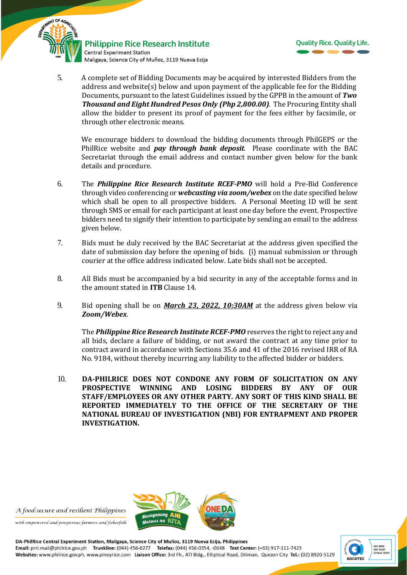

**Philippine Rice Research Institute** Central Experiment Station Maligaya, Science City of Muñoz, 3119 Nueva Ecija



5. A complete set of Bidding Documents may be acquired by interested Bidders from the address and website(s) below and upon payment of the applicable fee for the Bidding Documents, pursuant to the latest Guidelines issued by the GPPB in the amount of *Two Thousand and Eight Hundred Pesos Only (Php 2,800.00).* The Procuring Entity shall allow the bidder to present its proof of payment for the fees either by facsimile, or through other electronic means.

We encourage bidders to download the bidding documents through PhilGEPS or the PhilRice website and *pay through bank deposit*. Please coordinate with the BAC Secretariat through the email address and contact number given below for the bank details and procedure.

- 6. The *Philippine Rice Research Institute RCEF-PMO* will hold a Pre-Bid Conference through video conferencing or *webcasting via zoom/webex* on the date specified below which shall be open to all prospective bidders. A Personal Meeting ID will be sent through SMS or email for each participant at least one day before the event. Prospective bidders need to signify their intention to participate by sending an email to the address given below.
- 7. Bids must be duly received by the BAC Secretariat at the address given specified the date of submission day before the opening of bids. (i) manual submission or through courier at the office address indicated below*.* Late bids shall not be accepted.
- 8. All Bids must be accompanied by a bid security in any of the acceptable forms and in the amount stated in **ITB** Clause 14.
- 9. Bid opening shall be on *March 23, 2022, 10:30AM* at the address given below via *Zoom/Webex*.

The *Philippine Rice Research Institute RCEF-PMO* reserves the right to reject any and all bids, declare a failure of bidding, or not award the contract at any time prior to contract award in accordance with Sections 35.6 and 41 of the 2016 revised IRR of RA No. 9184, without thereby incurring any liability to the affected bidder or bidders.

10. **DA-PHILRICE DOES NOT CONDONE ANY FORM OF SOLICITATION ON ANY PROSPECTIVE WINNING AND LOSING BIDDERS BY ANY OF OUR STAFF/EMPLOYEES OR ANY OTHER PARTY. ANY SORT OF THIS KIND SHALL BE REPORTED IMMEDIATELY TO THE OFFICE OF THE SECRETARY OF THE NATIONAL BUREAU OF INVESTIGATION (NBI) FOR ENTRAPMENT AND PROPER INVESTIGATION.**

A food-secure and resilient Philippines

with empowered and prosperous farmers and fisherfolk



DA-PhilRice Central Experiment Station, Maligaya, Science City of Muñoz, 3119 Nueva Ecija, Philippines Email: prri.mail@philrice.gov.ph Trunkline: (044) 456-0277 Telefax: (044) 456-0354, -0648 Text Center: (+63) 917-111-7423 Websites: www.philrice.gov.ph, www.pinoyrice.com Liaison Office: 3rd Flr., ATI Bldg., Elliptical Road, Diliman, Quezon City Tel.: (02) 8920-5129